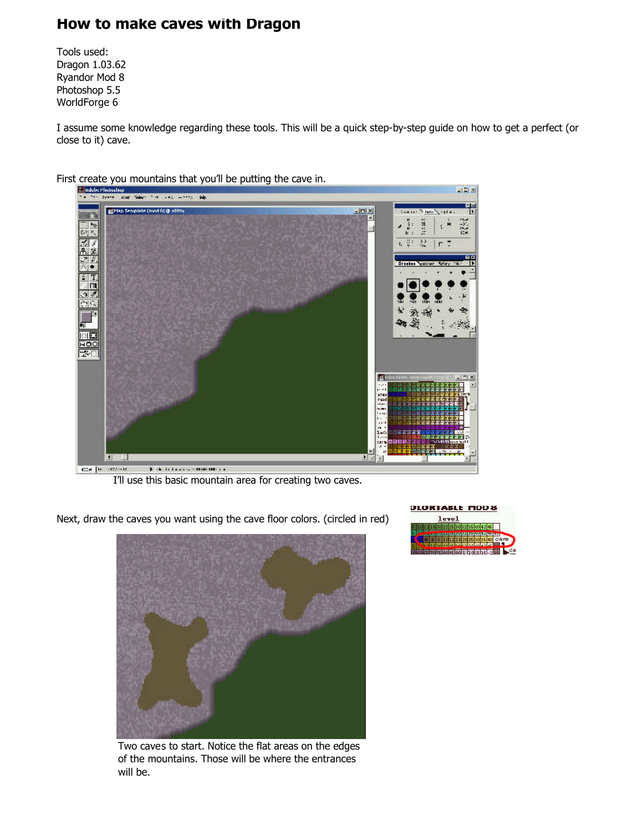## **How to make caves with Dragon**

Tools used: Dragon 1.03.62 Ryandor Mod 8 Photoshop 5.5 WorldForge 6

I assume some knowledge regarding these tools. This will be a quick step-by-step guide on how to get a perfect (or close to it) cave.



I'll use this basic mountain area for creating two caves.

Next, draw the caves you want using the cave floor colors. (circled in red)



Two caves to start. Notice the flat areas on the edges of the mountains. Those will be where the entrances will be.

| <b>JLORTABLE MOD 8</b> |  |  |  |  |       |  |  |  |  |  |    |  |
|------------------------|--|--|--|--|-------|--|--|--|--|--|----|--|
|                        |  |  |  |  | level |  |  |  |  |  |    |  |
|                        |  |  |  |  |       |  |  |  |  |  |    |  |
|                        |  |  |  |  |       |  |  |  |  |  |    |  |
|                        |  |  |  |  |       |  |  |  |  |  | ve |  |
|                        |  |  |  |  |       |  |  |  |  |  |    |  |
|                        |  |  |  |  |       |  |  |  |  |  |    |  |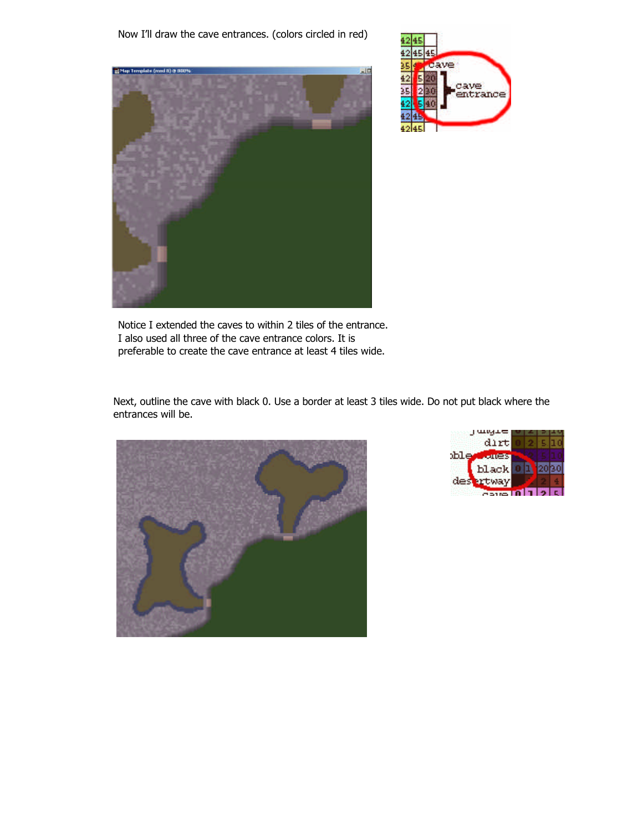Now I'll draw the cave entrances. (colors circled in red)





Notice I extended the caves to within 2 tiles of the entrance. I also used all three of the cave entrance colors. It is preferable to create the cave entrance at least 4 tiles wide.

Next, outline the cave with black 0. Use a border at least 3 tiles wide. Do not put black where the entrances will be.



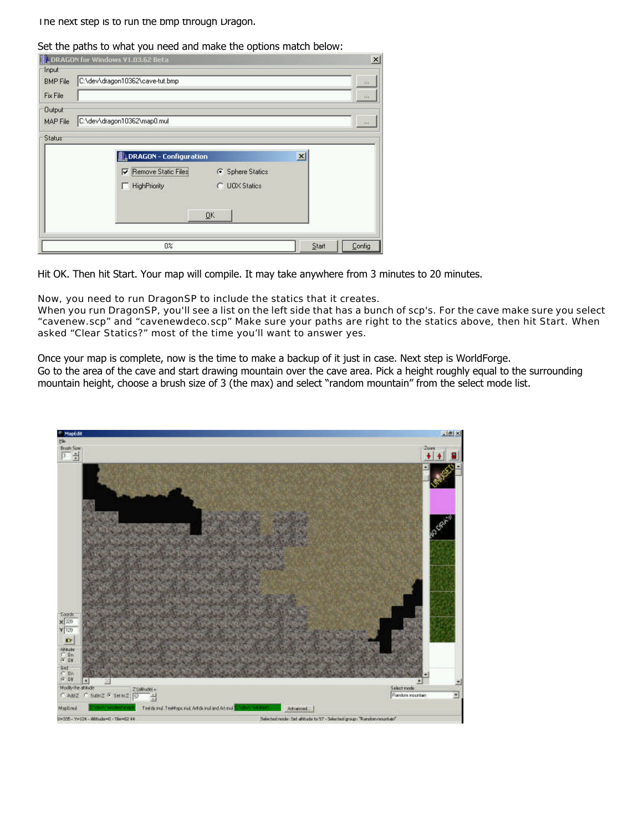The next step is to run the bmp through Dragon.

Set the paths to what you need and make the options match below:

|                                      | LDRAGON for Windows V1.03.62 Beta            | $\times$        |  |  |  |  |  |  |  |  |
|--------------------------------------|----------------------------------------------|-----------------|--|--|--|--|--|--|--|--|
| Input<br><b>BMP</b> File<br>Fix File | C:\dev\dragon10362\cave-tut.bmp<br>嵩<br>151  |                 |  |  |  |  |  |  |  |  |
| Output<br><b>MAP File</b>            | C:\dev\dragon10362\map0.mul                  |                 |  |  |  |  |  |  |  |  |
| <b>Status</b>                        |                                              |                 |  |  |  |  |  |  |  |  |
|                                      | <b>LDRAGON - Configuration</b>               | $\vert x \vert$ |  |  |  |  |  |  |  |  |
|                                      | C Sphere Statics<br>Remove Static Files<br>⊽ |                 |  |  |  |  |  |  |  |  |
|                                      | <b>C</b> UOX Statics<br><b>HighPriority</b>  |                 |  |  |  |  |  |  |  |  |
|                                      | QK                                           |                 |  |  |  |  |  |  |  |  |
|                                      | $0\%$                                        | Start<br>Config |  |  |  |  |  |  |  |  |

Hit OK. Then hit Start. Your map will compile. It may take anywhere from 3 minutes to 20 minutes.

Now, you need to run DragonSP to include the statics that it creates.

When you run DragonSP, you'll see a list on the left side that has a bunch of scp's. For the cave make sure you select "cavenew.scp" and "cavenewdeco.scp" Make sure your paths are right to the statics above, then hit Start. When asked "Clear Statics?" most of the time you'll want to answer yes.

Once your map is complete, now is the time to make a backup of it just in case. Next step is WorldForge. Go to the area of the cave and start drawing mountain over the cave area. Pick a height roughly equal to the surrounding mountain height, choose a brush size of 3 (the max) and select "random mountain" from the select mode list.

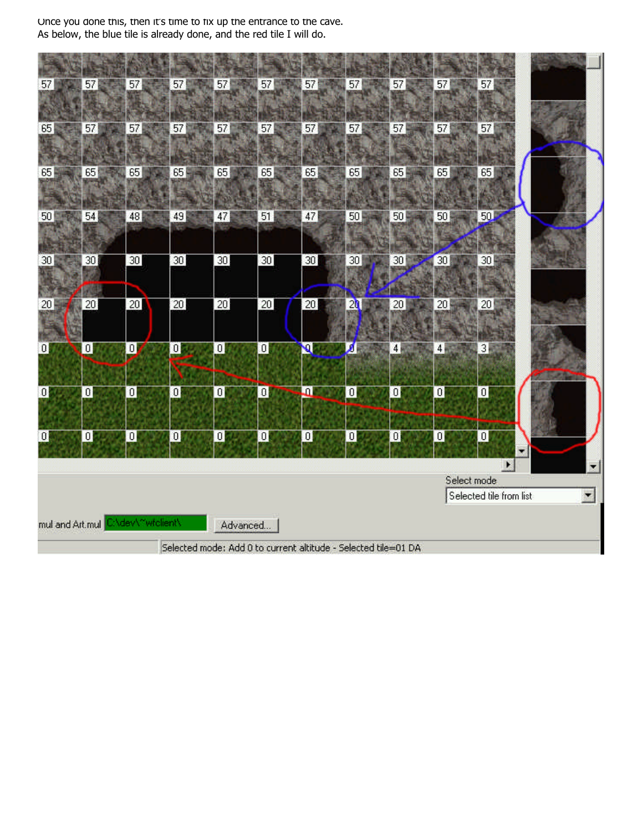Once you done this, then it's time to fix up the entrance to the cave. As below, the blue tile is already done, and the red tile I will do.

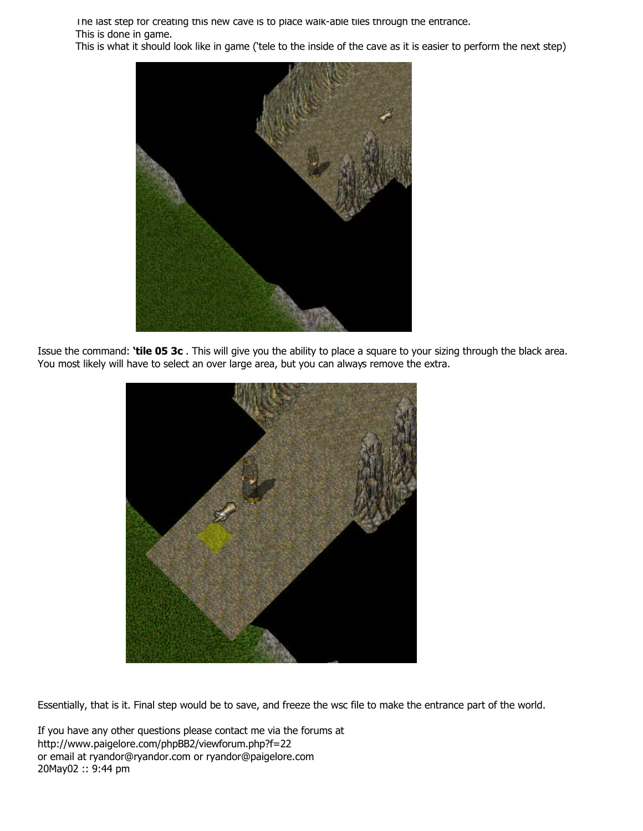The last step for creating this new cave is to place walk-able tiles through the entrance. This is done in game.

This is what it should look like in game ('tele to the inside of the cave as it is easier to perform the next step)



Issue the command: **'tile 05 3c** . This will give you the ability to place a square to your sizing through the black area. You most likely will have to select an over large area, but you can always remove the extra.



Essentially, that is it. Final step would be to save, and freeze the wsc file to make the entrance part of the world.

If you have any other questions please contact me via the forums at http://www.paigelore.com/phpBB2/viewforum.php?f=22 or email at ryandor@ryandor.com or ryandor@paigelore.com 20May02 :: 9:44 pm